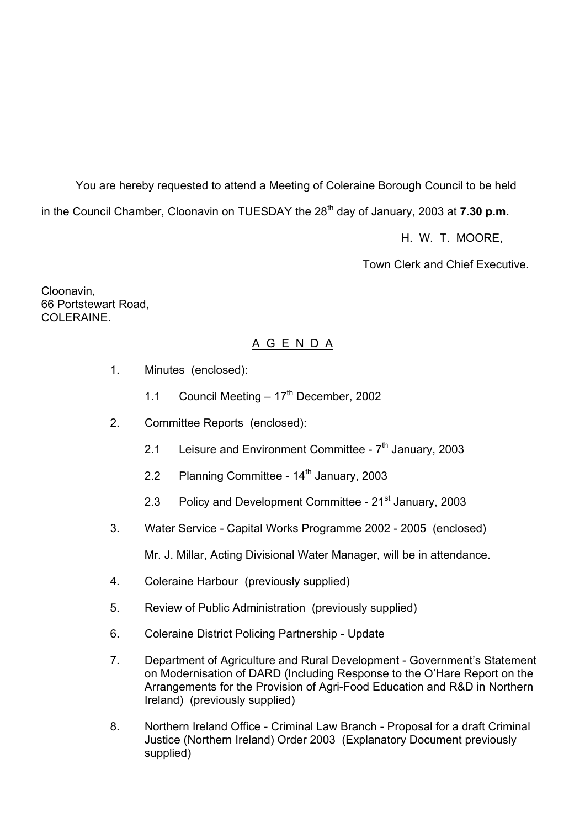You are hereby requested to attend a Meeting of Coleraine Borough Council to be held in the Council Chamber, Cloonavin on TUESDAY the 28<sup>th</sup> day of January, 2003 at **7.30 p.m.** 

H. W. T. MOORE,

Town Clerk and Chief Executive.

Cloonavin, 66 Portstewart Road, COLERAINE.

## A G E N D A

- 1. Minutes (enclosed):
	- 1.1 Council Meeting  $-17<sup>th</sup>$  December, 2002
- 2. Committee Reports (enclosed):
	- 2.1 Leisure and Environment Committee  $7<sup>th</sup>$  January, 2003
	- 2.2 Planning Committee  $14<sup>th</sup>$  January, 2003
	- 2.3 Policy and Development Committee 21<sup>st</sup> January, 2003
- 3. Water Service Capital Works Programme 2002 2005 (enclosed)

Mr. J. Millar, Acting Divisional Water Manager, will be in attendance.

- 4. Coleraine Harbour (previously supplied)
- 5. Review of Public Administration (previously supplied)
- 6. Coleraine District Policing Partnership Update
- 7. Department of Agriculture and Rural Development Government's Statement on Modernisation of DARD (Including Response to the O'Hare Report on the Arrangements for the Provision of Agri-Food Education and R&D in Northern Ireland) (previously supplied)
- 8. Northern Ireland Office Criminal Law Branch Proposal for a draft Criminal Justice (Northern Ireland) Order 2003 (Explanatory Document previously supplied)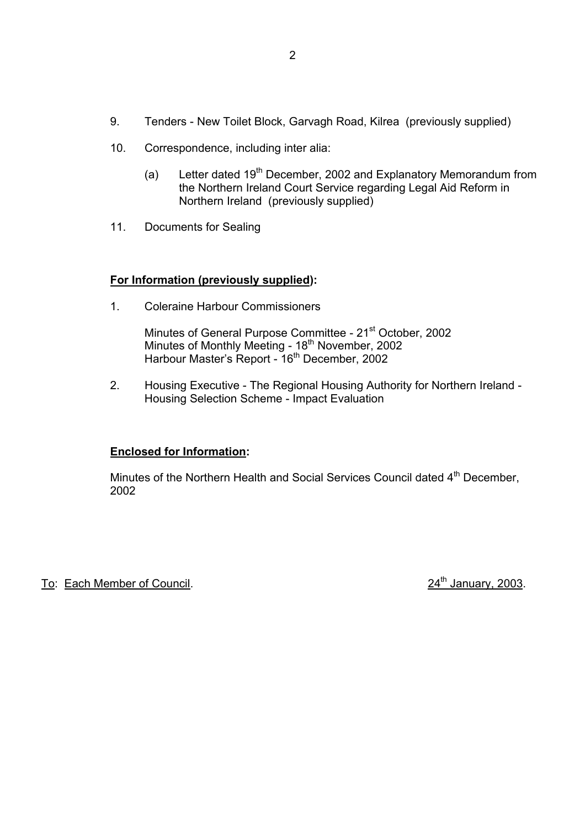- 9. Tenders New Toilet Block, Garvagh Road, Kilrea (previously supplied)
- 10. Correspondence, including inter alia:
	- (a) Letter dated  $19<sup>th</sup>$  December, 2002 and Explanatory Memorandum from the Northern Ireland Court Service regarding Legal Aid Reform in Northern Ireland (previously supplied)
- 11. Documents for Sealing

## **For Information (previously supplied):**

1. Coleraine Harbour Commissioners

Minutes of General Purpose Committee - 21<sup>st</sup> October, 2002 Minutes of Monthly Meeting - 18<sup>th</sup> November, 2002 Harbour Master's Report - 16<sup>th</sup> December, 2002

> 2. Housing Executive - The Regional Housing Authority for Northern Ireland - Housing Selection Scheme - Impact Evaluation

## **Enclosed for Information:**

Minutes of the Northern Health and Social Services Council dated 4<sup>th</sup> December, 2002

To: Each Member of Council. 24<sup>th</sup> January, 2003.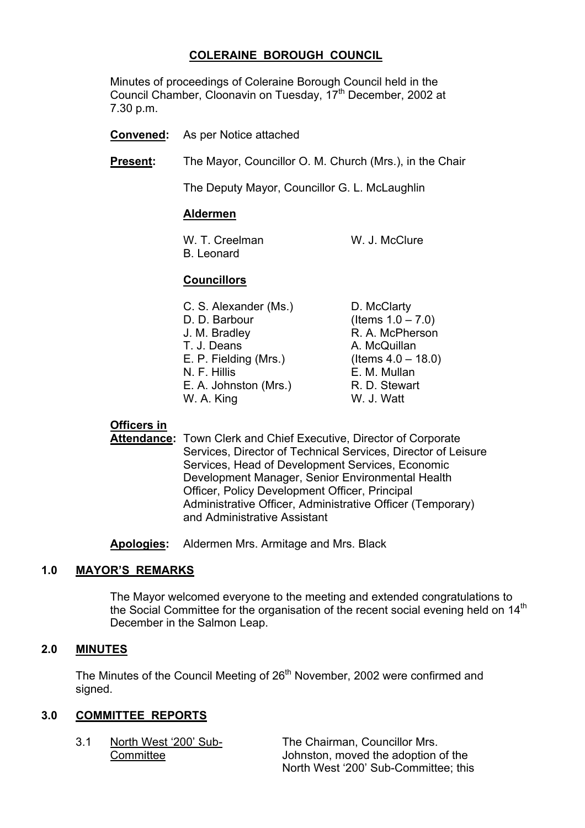## **COLERAINE BOROUGH COUNCIL**

 Minutes of proceedings of Coleraine Borough Council held in the Council Chamber, Cloonavin on Tuesday, 17<sup>th</sup> December, 2002 at 7.30 p.m.

- **Convened:** As per Notice attached
- **Present:** The Mayor, Councillor O. M. Church (Mrs.), in the Chair

The Deputy Mayor, Councillor G. L. McLaughlin

#### **Aldermen**

W. T. Creelman W. J. McClure B. Leonard

## **Councillors**

 C. S. Alexander (Ms.) D. McClarty D. D. Barbour (Items  $1.0 - 7.0$ ) J. M. Bradley R. A. McPherson T. J. Deans A. McQuillan E. P. Fielding (Mrs.) (Items  $4.0 - 18.0$ ) N. F. Hillis E. M. Mullan E. A. Johnston (Mrs.) R. D. Stewart W. A. King W. J. Watt

#### **Officers in**

**Attendance:** Town Clerk and Chief Executive, Director of Corporate Services, Director of Technical Services, Director of Leisure Services, Head of Development Services, Economic Development Manager, Senior Environmental Health Officer, Policy Development Officer, Principal Administrative Officer, Administrative Officer (Temporary) and Administrative Assistant

**Apologies:** Aldermen Mrs. Armitage and Mrs. Black

#### **1.0 MAYORíS REMARKS**

The Mayor welcomed everyone to the meeting and extended congratulations to the Social Committee for the organisation of the recent social evening held on 14<sup>th</sup> December in the Salmon Leap.

#### **2.0 MINUTES**

The Minutes of the Council Meeting of 26<sup>th</sup> November, 2002 were confirmed and signed.

## **3.0 COMMITTEE REPORTS**

3.1 North West '200' Sub-<br>
The Chairman, Councillor Mrs. Committee Johnston, moved the adoption of the North West '200' Sub-Committee; this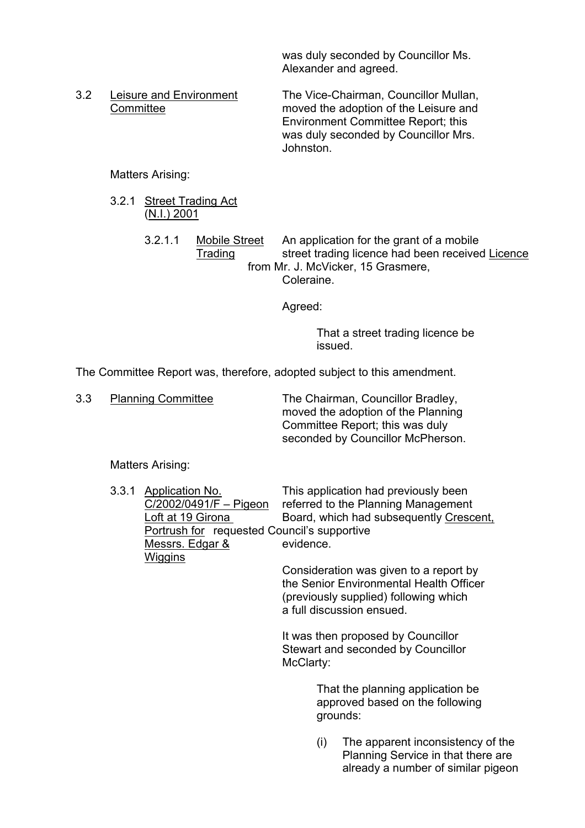was duly seconded by Councillor Ms. Alexander and agreed.

 3.2 Leisure and Environment The Vice-Chairman, Councillor Mullan, Committee moved the adoption of the Leisure and Environment Committee Report; this was duly seconded by Councillor Mrs. Johnston.

Matters Arising:

- 3.2.1 Street Trading Act (N.I.) 2001
	- 3.2.1.1 Mobile Street An application for the grant of a mobile Trading street trading licence had been received Licence from Mr. J. McVicker, 15 Grasmere, Coleraine.

Agreed:

 That a street trading licence be issued.

The Committee Report was, therefore, adopted subject to this amendment.

3.3 Planning Committee The Chairman, Councillor Bradley, moved the adoption of the Planning Committee Report; this was duly seconded by Councillor McPherson.

Matters Arising:

3.3.1 Application No. This application had previously been<br>C/2002/0491/F – Pigeon referred to the Planning Management referred to the Planning Management Loft at 19 Girona Board, which had subsequently Crescent, Portrush for requested Council's supportive Messrs. Edgar & evidence. **Wiggins** 

 Consideration was given to a report by the Senior Environmental Health Officer (previously supplied) following which a full discussion ensued.

 It was then proposed by Councillor Stewart and seconded by Councillor McClarty:

> That the planning application be approved based on the following grounds:

(i) The apparent inconsistency of the Planning Service in that there are already a number of similar pigeon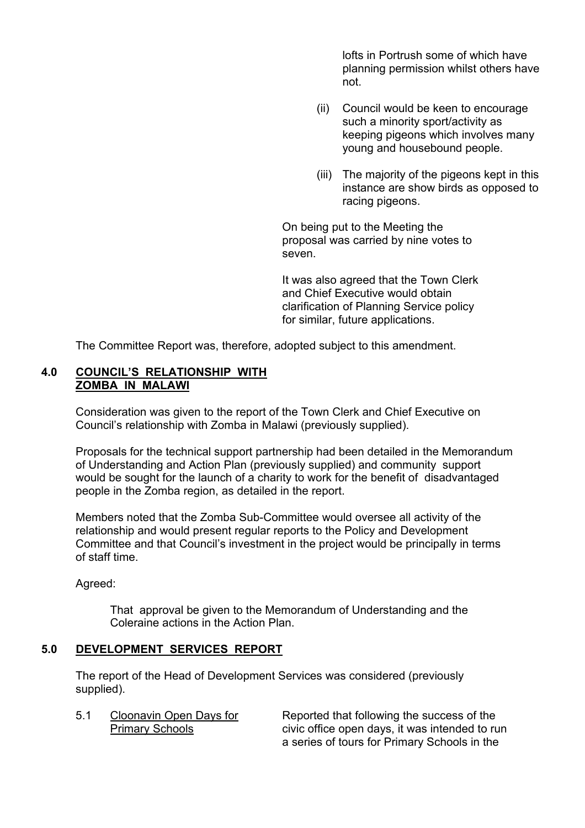lofts in Portrush some of which have planning permission whilst others have not.

- (ii) Council would be keen to encourage such a minority sport/activity as keeping pigeons which involves many young and housebound people.
- (iii) The majority of the pigeons kept in this instance are show birds as opposed to racing pigeons.

 On being put to the Meeting the proposal was carried by nine votes to seven.

 It was also agreed that the Town Clerk and Chief Executive would obtain clarification of Planning Service policy for similar, future applications.

The Committee Report was, therefore, adopted subject to this amendment.

## **4.0 COUNCILíS RELATIONSHIP WITH ZOMBA IN MALAWI**

Consideration was given to the report of the Town Clerk and Chief Executive on Council's relationship with Zomba in Malawi (previously supplied).

 Proposals for the technical support partnership had been detailed in the Memorandum of Understanding and Action Plan (previously supplied) and community support would be sought for the launch of a charity to work for the benefit of disadvantaged people in the Zomba region, as detailed in the report.

 Members noted that the Zomba Sub-Committee would oversee all activity of the relationship and would present regular reports to the Policy and Development Committee and that Council's investment in the project would be principally in terms of staff time.

Agreed:

 That approval be given to the Memorandum of Understanding and the Coleraine actions in the Action Plan.

## **5.0 DEVELOPMENT SERVICES REPORT**

 The report of the Head of Development Services was considered (previously supplied).

5.1 Cloonavin Open Days for Reported that following the success of the Primary Schools civic office open days, it was intended to run a series of tours for Primary Schools in the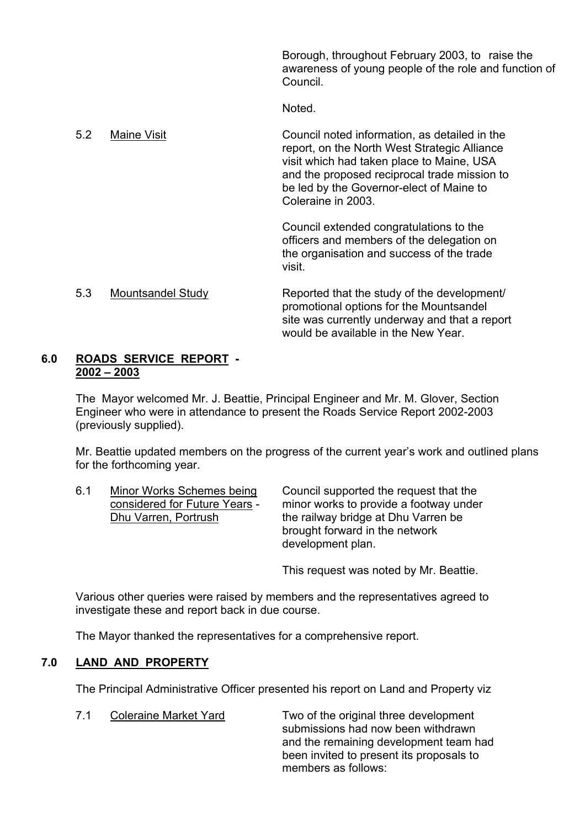Borough, throughout February 2003, to raise the awareness of young people of the role and function of Council.

Noted.

5.2 Maine Visit Council noted information, as detailed in the report, on the North West Strategic Alliance visit which had taken place to Maine, USA and the proposed reciprocal trade mission to be led by the Governor-elect of Maine to Coleraine in 2003.

 Council extended congratulations to the officers and members of the delegation on the organisation and success of the trade visit.

## 5.3 Mountsandel Study Reported that the study of the development/ promotional options for the Mountsandel site was currently underway and that a report would be available in the New Year.

#### **6.0 ROADS SERVICE REPORT - 2002 ñ 2003**

 The Mayor welcomed Mr. J. Beattie, Principal Engineer and Mr. M. Glover, Section Engineer who were in attendance to present the Roads Service Report 2002-2003 (previously supplied).

Mr. Beattie updated members on the progress of the current yearís work and outlined plans for the forthcoming year.

 6.1 Minor Works Schemes being Council supported the request that the considered for Future Years - minor works to provide a footway under Dhu Varren, Portrush the railway bridge at Dhu Varren be brought forward in the network development plan.

This request was noted by Mr. Beattie.

 Various other queries were raised by members and the representatives agreed to investigate these and report back in due course.

The Mayor thanked the representatives for a comprehensive report.

## **7.0 LAND AND PROPERTY**

The Principal Administrative Officer presented his report on Land and Property viz

7.1 Coleraine Market Yard Two of the original three development submissions had now been withdrawn and the remaining development team had been invited to present its proposals to members as follows: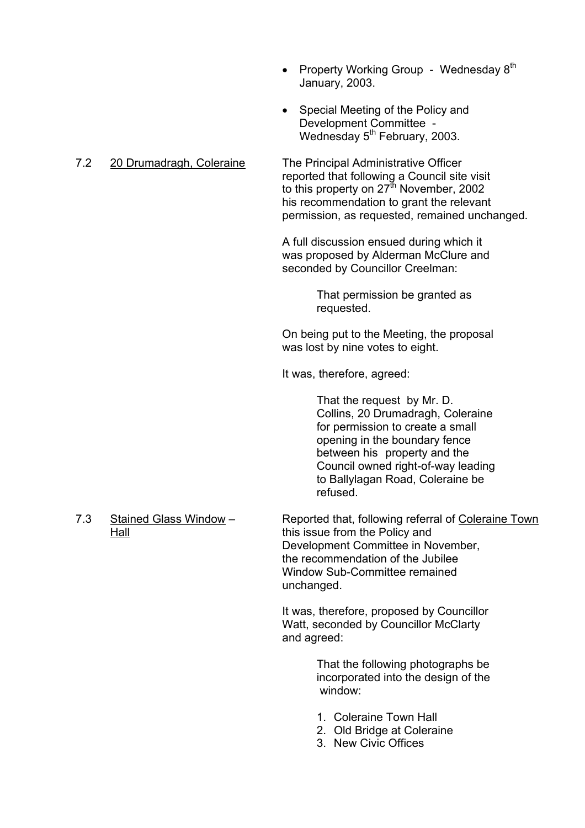- Property Working Group Wednesday  $8<sup>th</sup>$ January, 2003.
- Special Meeting of the Policy and Development Committee - Wednesday 5<sup>th</sup> February, 2003.

## 7.2 20 Drumadragh, Coleraine The Principal Administrative Officer

reported that following a Council site visit to this property on  $27^{\text{th}}$  November, 2002 his recommendation to grant the relevant permission, as requested, remained unchanged.

 A full discussion ensued during which it was proposed by Alderman McClure and seconded by Councillor Creelman:

> That permission be granted as requested.

On being put to the Meeting, the proposal was lost by nine votes to eight.

It was, therefore, agreed:

 That the request by Mr. D. Collins, 20 Drumadragh, Coleraine for permission to create a small opening in the boundary fence between his property and the Council owned right-of-way leading to Ballylagan Road, Coleraine be refused.

7.3 Stained Glass Window – Reported that, following referral of Coleraine Town Hall this issue from the Policy and Development Committee in November, the recommendation of the Jubilee Window Sub-Committee remained unchanged.

> It was, therefore, proposed by Councillor Watt, seconded by Councillor McClarty and agreed:

> > That the following photographs be incorporated into the design of the window:

- 1. Coleraine Town Hall
- 2. Old Bridge at Coleraine
- 3. New Civic Offices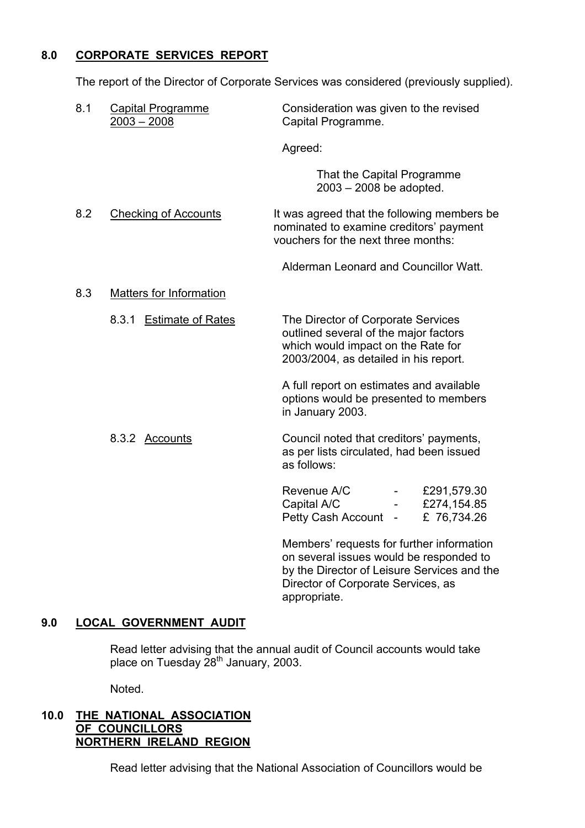## **8.0 CORPORATE SERVICES REPORT**

The report of the Director of Corporate Services was considered (previously supplied).

| 8.1 | <b>Capital Programme</b><br>$2003 - 2008$ | Consideration was given to the revised<br>Capital Programme.                                                                                               |
|-----|-------------------------------------------|------------------------------------------------------------------------------------------------------------------------------------------------------------|
|     |                                           | Agreed:                                                                                                                                                    |
|     |                                           | That the Capital Programme<br>$2003 - 2008$ be adopted.                                                                                                    |
| 8.2 | <b>Checking of Accounts</b>               | It was agreed that the following members be<br>nominated to examine creditors' payment<br>vouchers for the next three months:                              |
|     |                                           | Alderman Leonard and Councillor Watt.                                                                                                                      |
| 8.3 | <b>Matters for Information</b>            |                                                                                                                                                            |
|     | 8.3.1 Estimate of Rates                   | The Director of Corporate Services<br>outlined several of the major factors<br>which would impact on the Rate for<br>2003/2004, as detailed in his report. |
|     |                                           | A full report on estimates and available<br>options would be presented to members<br>in January 2003.                                                      |
|     | 8.3.2 Accounts                            | Council noted that creditors' payments,<br>as per lists circulated, had been issued<br>as follows:                                                         |
|     |                                           | Revenue A/C<br>£291,579.30<br>$\frac{1}{2}$ and $\frac{1}{2}$<br>Capital A/C<br>£274,154.85<br>Petty Cash Account -<br>£ 76,734.26                         |
|     |                                           | Members' requests for further information<br>on several issues would be responded to                                                                       |

 by the Director of Leisure Services and the Director of Corporate Services, as appropriate.

## **9.0 LOCAL GOVERNMENT AUDIT**

 Read letter advising that the annual audit of Council accounts would take place on Tuesday 28<sup>th</sup> January, 2003.

Noted.

## **10.0 THE NATIONAL ASSOCIATION OF COUNCILLORS NORTHERN IRELAND REGION**

Read letter advising that the National Association of Councillors would be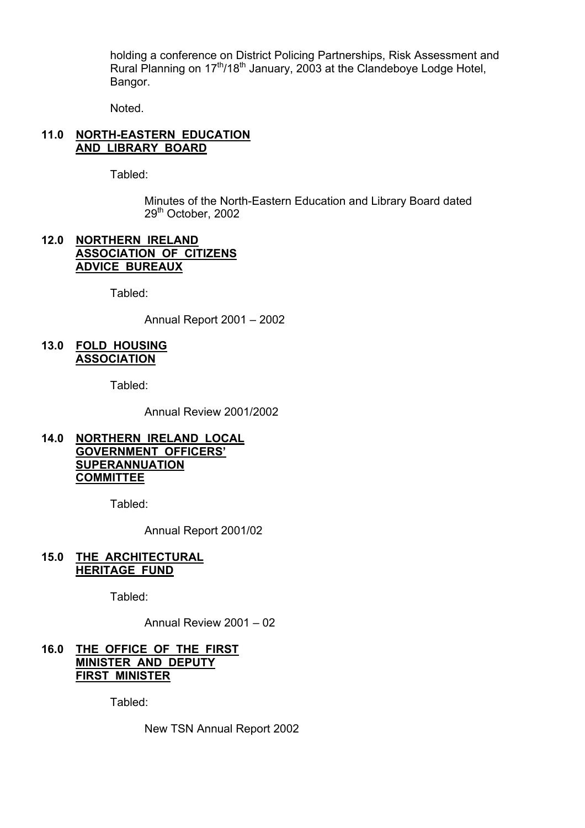holding a conference on District Policing Partnerships, Risk Assessment and Rural Planning on 17<sup>th</sup>/18<sup>th</sup> January, 2003 at the Clandeboye Lodge Hotel, Bangor.

Noted.

## **11.0 NORTH-EASTERN EDUCATION AND LIBRARY BOARD**

Tabled:

 Minutes of the North-Eastern Education and Library Board dated 29th October, 2002

## **12.0 NORTHERN IRELAND ASSOCIATION OF CITIZENS ADVICE BUREAUX**

Tabled:

Annual Report  $2001 - 2002$ 

#### **13.0 FOLD HOUSING ASSOCIATION**

Tabled:

Annual Review 2001/2002

## **14.0 NORTHERN IRELAND LOCAL GOVERNMENT OFFICERSí SUPERANNUATION COMMITTEE**

Tabled:

Annual Report 2001/02

## **15.0 THE ARCHITECTURAL HERITAGE FUND**

Tabled:

Annual Review  $2001 - 02$ 

## **16.0 THE OFFICE OF THE FIRST MINISTER AND DEPUTY FIRST MINISTER**

Tabled:

New TSN Annual Report 2002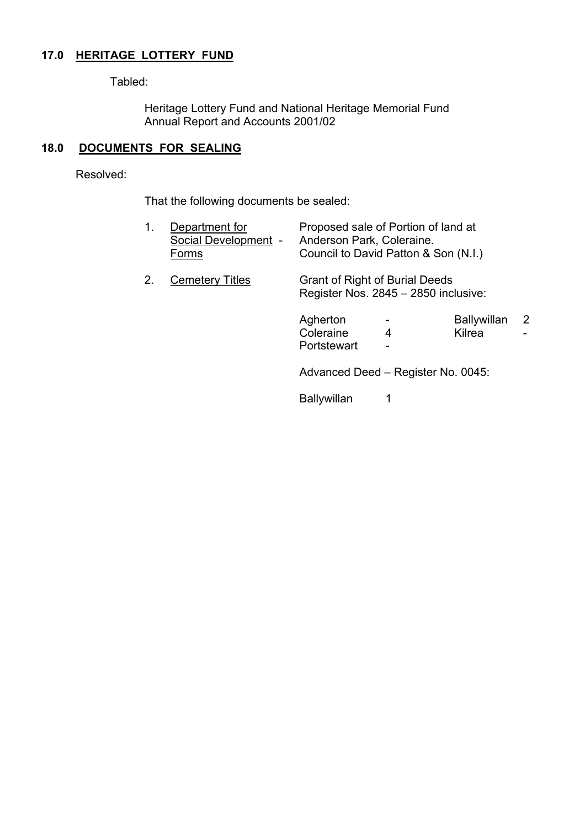## **17.0 HERITAGE LOTTERY FUND**

Tabled:

 Heritage Lottery Fund and National Heritage Memorial Fund Annual Report and Accounts 2001/02

## **18.0 DOCUMENTS FOR SEALING**

Resolved:

That the following documents be sealed:

| 1. | Department for<br>Social Development -<br>Forms | Proposed sale of Portion of land at<br>Anderson Park, Coleraine.<br>Council to David Patton & Son (N.I.) |                               |                       |   |
|----|-------------------------------------------------|----------------------------------------------------------------------------------------------------------|-------------------------------|-----------------------|---|
| 2. | <b>Cemetery Titles</b>                          | Grant of Right of Burial Deeds<br>Register Nos. 2845 - 2850 inclusive:                                   |                               |                       |   |
|    |                                                 | Agherton<br>Coleraine<br>Portstewart                                                                     | 4<br>$\overline{\phantom{a}}$ | Ballywillan<br>Kilrea | 2 |
|    |                                                 | Advanced Deed - Register No. 0045:                                                                       |                               |                       |   |
|    |                                                 | <b>Ballywillan</b>                                                                                       |                               |                       |   |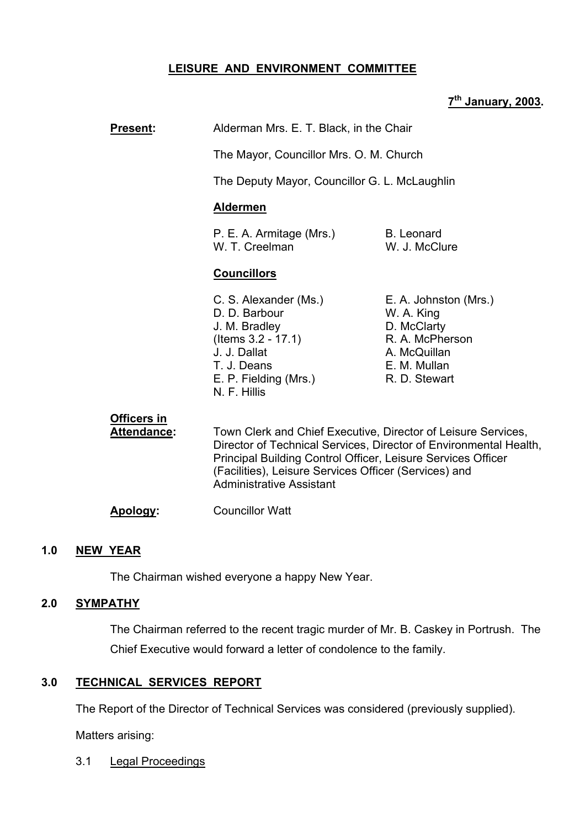## **LEISURE AND ENVIRONMENT COMMITTEE**

## **7th January, 2003.**

# **Present:** Alderman Mrs. E. T. Black, in the Chair The Mayor, Councillor Mrs. O. M. Church The Deputy Mayor, Councillor G. L. McLaughlin **Aldermen** P. E. A. Armitage (Mrs.) B. Leonard W. T. Creelman W. J. McClure **Councillors** C. S. Alexander (Ms.) E. A. Johnston (Mrs.)

- D. D. Barbour W. A. King J. M. Bradley D. McClarty (Items 3.2 - 17.1) R. A. McPherson J. J. Dallat A. McQuillan T. J. Deans **E. M. Mullan** E. P. Fielding (Mrs.) R. D. Stewart N. F. Hillis
- 

## **Officers in**

 **Attendance:** Town Clerk and Chief Executive, Director of Leisure Services, Director of Technical Services, Director of Environmental Health, Principal Building Control Officer, Leisure Services Officer (Facilities), Leisure Services Officer (Services) and Administrative Assistant

**Apology:** Councillor Watt

## **1.0 NEW YEAR**

The Chairman wished everyone a happy New Year.

## **2.0 SYMPATHY**

The Chairman referred to the recent tragic murder of Mr. B. Caskey in Portrush. The Chief Executive would forward a letter of condolence to the family.

## **3.0 TECHNICAL SERVICES REPORT**

The Report of the Director of Technical Services was considered (previously supplied).

Matters arising:

3.1 Legal Proceedings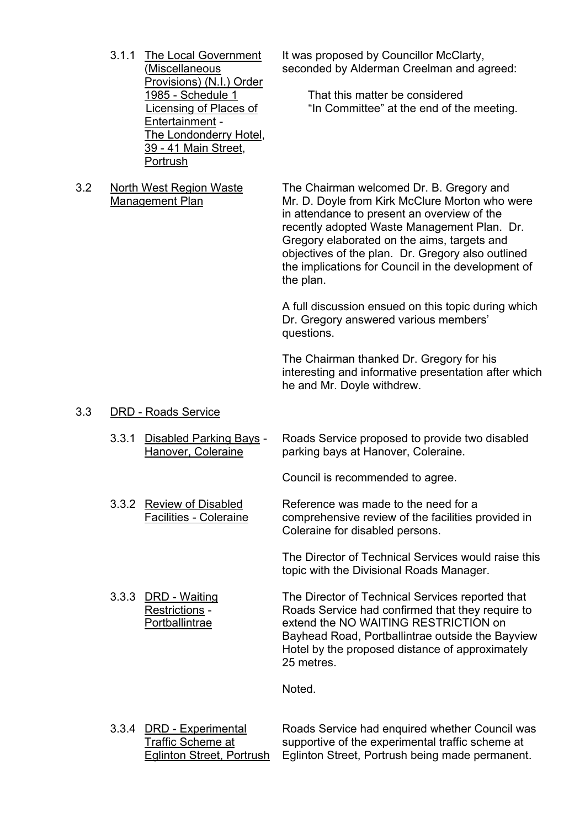- Provisions) (N.I.) Order Entertainment - The Londonderry Hotel, 39 - 41 Main Street, Portrush
- 

3.1.1 The Local Government It was proposed by Councillor McClarty, (Miscellaneous seconded by Alderman Creelman and agreed:

1985 - Schedule 1 That this matter be considered Licensing of Places of **i**In Committee" at the end of the meeting.

 3.2 North West Region Waste The Chairman welcomed Dr. B. Gregory and Management Plan Mr. D. Doyle from Kirk McClure Morton who were in attendance to present an overview of the recently adopted Waste Management Plan. Dr. Gregory elaborated on the aims, targets and objectives of the plan. Dr. Gregory also outlined the implications for Council in the development of the plan.

> A full discussion ensued on this topic during which Dr. Gregory answered various members' questions.

The Chairman thanked Dr. Gregory for his interesting and informative presentation after which he and Mr. Doyle withdrew.

#### 3.3 DRD - Roads Service

 3.3.1 Disabled Parking Bays - Roads Service proposed to provide two disabled Hanover, Coleraine parking bays at Hanover, Coleraine.

Council is recommended to agree.

3.3.2 Review of Disabled Reference was made to the need for a Facilities - Coleraine comprehensive review of the facilities provided in Coleraine for disabled persons.

> The Director of Technical Services would raise this topic with the Divisional Roads Manager.

 3.3.3 DRD - Waiting The Director of Technical Services reported that Restrictions - Roads Service had confirmed that they require to Portballintrae extend the NO WAITING RESTRICTION on Bayhead Road, Portballintrae outside the Bayview Hotel by the proposed distance of approximately 25 metres.

Noted.

 3.3.4 DRD - Experimental Roads Service had enquired whether Council was Traffic Scheme at supportive of the experimental traffic scheme at Eglinton Street, Portrush Eglinton Street, Portrush being made permanent.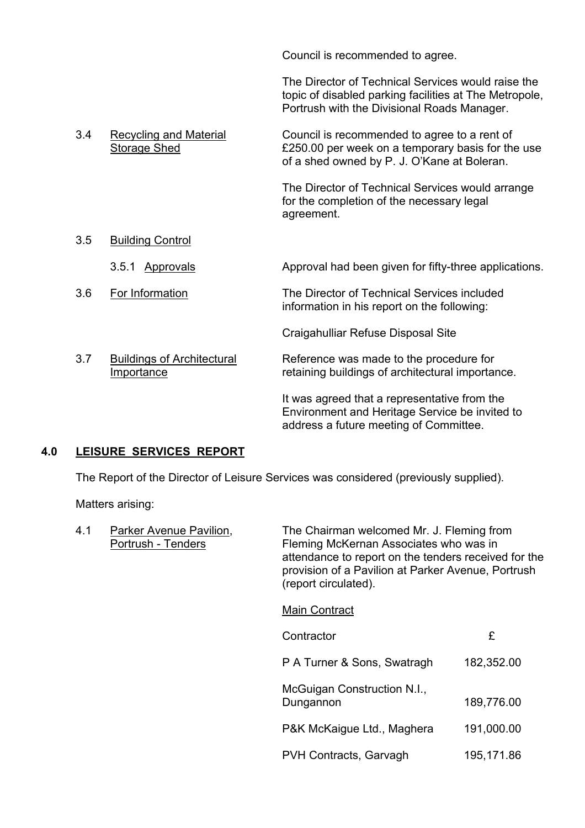Council is recommended to agree.

 The Director of Technical Services would raise the topic of disabled parking facilities at The Metropole, Portrush with the Divisional Roads Manager.

Environment and Heritage Service be invited to

PVH Contracts, Garvagh 195,171.86

address a future meeting of Committee.

3.4 Recycling and Material Council is recommended to agree to a rent of<br>Storage Shed E250.00 per week on a temporary basis for the £250.00 per week on a temporary basis for the use of a shed owned by P. J. O'Kane at Boleran. The Director of Technical Services would arrange for the completion of the necessary legal agreement. 3.5 Building Control 3.5.1 Approvals Approval had been given for fifty-three applications. 3.6 For Information The Director of Technical Services included information in his report on the following: Craigahulliar Refuse Disposal Site 3.7 Buildings of Architectural Reference was made to the procedure for Importance retaining buildings of architectural importance. It was agreed that a representative from the

## **4.0 LEISURE SERVICES REPORT**

The Report of the Director of Leisure Services was considered (previously supplied).

Matters arising:

| 4.1 | Parker Avenue Pavilion,<br>Portrush - Tenders | The Chairman welcomed Mr. J. Fleming from<br>Fleming McKernan Associates who was in<br>attendance to report on the tenders received for the<br>provision of a Pavilion at Parker Avenue, Portrush<br>(report circulated). |            |
|-----|-----------------------------------------------|---------------------------------------------------------------------------------------------------------------------------------------------------------------------------------------------------------------------------|------------|
|     |                                               | <b>Main Contract</b>                                                                                                                                                                                                      |            |
|     |                                               | Contractor                                                                                                                                                                                                                | £          |
|     |                                               | P A Turner & Sons, Swatragh                                                                                                                                                                                               | 182,352.00 |
|     |                                               | McGuigan Construction N.I.,<br>Dungannon                                                                                                                                                                                  | 189,776.00 |
|     |                                               | P&K McKaigue Ltd., Maghera                                                                                                                                                                                                | 191,000.00 |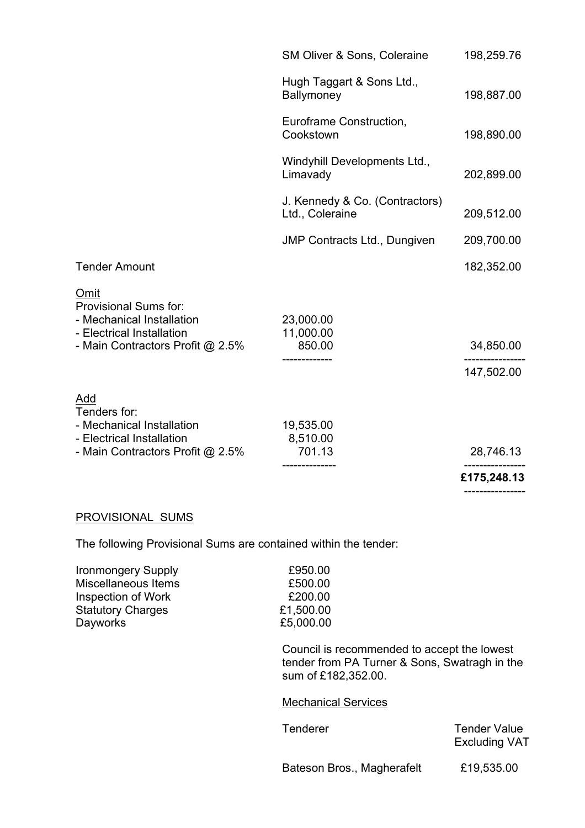|                                                                                                                             |                                                   | ------------ |
|-----------------------------------------------------------------------------------------------------------------------------|---------------------------------------------------|--------------|
|                                                                                                                             |                                                   | £175,248.13  |
| Add<br>Tenders for:<br>- Mechanical Installation<br>- Electrical Installation<br>- Main Contractors Profit @ 2.5%           | 19,535.00<br>8,510.00<br>701.13                   | 28,746.13    |
|                                                                                                                             |                                                   | 147,502.00   |
| Omit<br>Provisional Sums for:<br>- Mechanical Installation<br>- Electrical Installation<br>- Main Contractors Profit @ 2.5% | 23,000.00<br>11,000.00<br>850.00                  | 34,850.00    |
| <b>Tender Amount</b>                                                                                                        |                                                   | 182,352.00   |
|                                                                                                                             | <b>JMP Contracts Ltd., Dungiven</b>               | 209,700.00   |
|                                                                                                                             | J. Kennedy & Co. (Contractors)<br>Ltd., Coleraine | 209,512.00   |
|                                                                                                                             | Windyhill Developments Ltd.,<br>Limavady          | 202,899.00   |
|                                                                                                                             | Euroframe Construction,<br>Cookstown              | 198,890.00   |
|                                                                                                                             | Hugh Taggart & Sons Ltd.,<br>Ballymoney           | 198,887.00   |
|                                                                                                                             | SM Oliver & Sons, Coleraine                       | 198,259.76   |

## PROVISIONAL SUMS

The following Provisional Sums are contained within the tender:

| <b>Ironmongery Supply</b> | £950.00   |
|---------------------------|-----------|
| Miscellaneous Items       | £500.00   |
| <b>Inspection of Work</b> | £200.00   |
| <b>Statutory Charges</b>  | £1,500.00 |
| Dayworks                  | £5,000.00 |
|                           |           |

 Council is recommended to accept the lowest tender from PA Turner & Sons, Swatragh in the sum of £182,352.00.

#### Mechanical Services

Tenderer Tender Value Excluding VAT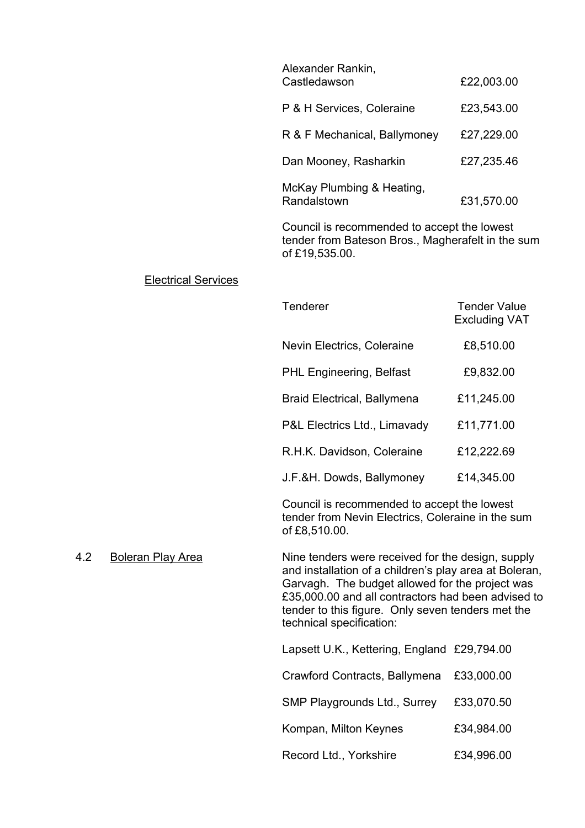| Alexander Rankin,<br>Castledawson           | £22,003.00 |
|---------------------------------------------|------------|
| P & H Services, Coleraine                   | £23,543.00 |
| R & F Mechanical, Ballymoney                | £27,229.00 |
| Dan Mooney, Rasharkin                       | £27,235.46 |
| McKay Plumbing & Heating,<br>Randalstown    | £31,570.00 |
| Council is recommended to accept the lowest |            |

tender from Bateson Bros., Magherafelt in the sum of £19,535.00.

#### Electrical Services

| Tenderer                           | <b>Tender Value</b><br><b>Excluding VAT</b> |
|------------------------------------|---------------------------------------------|
| Nevin Electrics, Coleraine         | £8,510.00                                   |
| <b>PHL Engineering, Belfast</b>    | £9,832.00                                   |
| <b>Braid Electrical, Ballymena</b> | £11,245.00                                  |
| P&L Electrics Ltd., Limavady       | £11,771.00                                  |
| R.H.K. Davidson, Coleraine         | £12,222.69                                  |
| J.F.&H. Dowds, Ballymoney          | £14,345.00                                  |

Council is recommended to accept the lowest tender from Nevin Electrics, Coleraine in the sum of £8,510.00.

4.2 Boleran Play Area Nine tenders were received for the design, supply and installation of a children's play area at Boleran, Garvagh. The budget allowed for the project was £35,000.00 and all contractors had been advised to tender to this figure. Only seven tenders met the technical specification:

| Lapsett U.K., Kettering, England £29,794.00 |            |
|---------------------------------------------|------------|
| Crawford Contracts, Ballymena               | £33,000.00 |
| <b>SMP Playgrounds Ltd., Surrey</b>         | £33,070.50 |
| Kompan, Milton Keynes                       | £34,984.00 |
| Record Ltd., Yorkshire                      | £34,996.00 |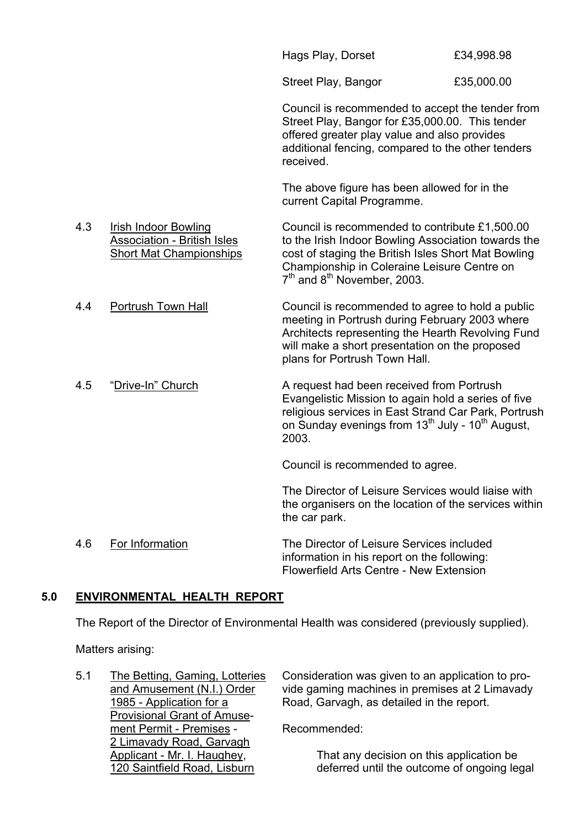|     |                                                                                                     | Hags Play, Dorset                                                                                                                                                                                                                                                  | £34,998.98 |
|-----|-----------------------------------------------------------------------------------------------------|--------------------------------------------------------------------------------------------------------------------------------------------------------------------------------------------------------------------------------------------------------------------|------------|
|     |                                                                                                     | Street Play, Bangor                                                                                                                                                                                                                                                | £35,000.00 |
|     |                                                                                                     | Council is recommended to accept the tender from<br>Street Play, Bangor for £35,000.00. This tender<br>offered greater play value and also provides<br>additional fencing, compared to the other tenders<br>received.                                              |            |
|     |                                                                                                     | The above figure has been allowed for in the<br>current Capital Programme.                                                                                                                                                                                         |            |
| 4.3 | <b>Irish Indoor Bowling</b><br><b>Association - British Isles</b><br><b>Short Mat Championships</b> | Council is recommended to contribute £1,500.00<br>to the Irish Indoor Bowling Association towards the<br>cost of staging the British Isles Short Mat Bowling<br>Championship in Coleraine Leisure Centre on<br>7 <sup>th</sup> and 8 <sup>th</sup> November, 2003. |            |
| 4.4 | Portrush Town Hall                                                                                  | Council is recommended to agree to hold a public<br>meeting in Portrush during February 2003 where<br>Architects representing the Hearth Revolving Fund<br>will make a short presentation on the proposed<br>plans for Portrush Town Hall.                         |            |
| 4.5 | "Drive-In" Church                                                                                   | A request had been received from Portrush<br>Evangelistic Mission to again hold a series of five<br>religious services in East Strand Car Park, Portrush<br>on Sunday evenings from 13 <sup>th</sup> July - 10 <sup>th</sup> August,<br>2003.                      |            |
|     |                                                                                                     | Council is recommended to agree.                                                                                                                                                                                                                                   |            |
|     |                                                                                                     | The Director of Leisure Services would liaise with<br>the organisers on the location of the services within<br>the car park.                                                                                                                                       |            |
| 4.6 | For Information                                                                                     | The Director of Leisure Services included<br>information in his report on the following:<br>Flowerfield Arts Centre - New Extension                                                                                                                                |            |

## **5.0 ENVIRONMENTAL HEALTH REPORT**

The Report of the Director of Environmental Health was considered (previously supplied).

Matters arising:

 Provisional Grant of Amuse ment Permit - Premises - Recommended: 2 Limavady Road, Garvagh

5.1 The Betting, Gaming, Lotteries Consideration was given to an application to proand Amusement (N.I.) Order vide gaming machines in premises at 2 Limavady 1985 - Application for a Road, Garvagh, as detailed in the report.

 Applicant - Mr. I. Haughey, That any decision on this application be 120 Saintfield Road, Lisburn deferred until the outcome of ongoing legal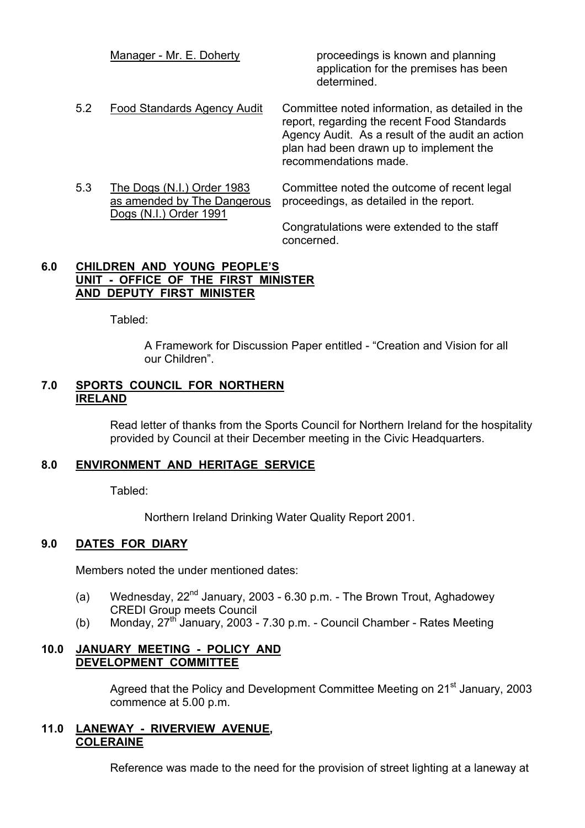|     | Manager - Mr. E. Doherty                                                            | proceedings is known and planning<br>application for the premises has been<br>determined.                                                                                                                              |
|-----|-------------------------------------------------------------------------------------|------------------------------------------------------------------------------------------------------------------------------------------------------------------------------------------------------------------------|
| 5.2 | Food Standards Agency Audit                                                         | Committee noted information, as detailed in the<br>report, regarding the recent Food Standards<br>Agency Audit. As a result of the audit an action<br>plan had been drawn up to implement the<br>recommendations made. |
| 5.3 | The Dogs (N.I.) Order 1983<br>as amended by The Dangerous<br>Dogs (N.I.) Order 1991 | Committee noted the outcome of recent legal<br>proceedings, as detailed in the report.                                                                                                                                 |
|     |                                                                                     | Congratulations were extended to the staff                                                                                                                                                                             |

concerned.

## **6.0 CHILDREN AND YOUNG PEOPLEíS UNIT - OFFICE OF THE FIRST MINISTER AND DEPUTY FIRST MINISTER**

Tabled:

A Framework for Discussion Paper entitled - "Creation and Vision for all our Children<sup>"</sup>.

## **7.0 SPORTS COUNCIL FOR NORTHERN IRELAND**

 Read letter of thanks from the Sports Council for Northern Ireland for the hospitality provided by Council at their December meeting in the Civic Headquarters.

## **8.0 ENVIRONMENT AND HERITAGE SERVICE**

Tabled:

Northern Ireland Drinking Water Quality Report 2001.

## **9.0 DATES FOR DIARY**

Members noted the under mentioned dates:

- (a) Wednesday,  $22^{nd}$  January, 2003 6.30 p.m. The Brown Trout, Aghadowey CREDI Group meets Council
- (b) Monday,  $27<sup>th</sup>$  January, 2003 7.30 p.m. Council Chamber Rates Meeting

## **10.0 JANUARY MEETING - POLICY AND DEVELOPMENT COMMITTEE**

Agreed that the Policy and Development Committee Meeting on 21<sup>st</sup> January, 2003 commence at 5.00 p.m.

## **11.0 LANEWAY - RIVERVIEW AVENUE, COLERAINE**

Reference was made to the need for the provision of street lighting at a laneway at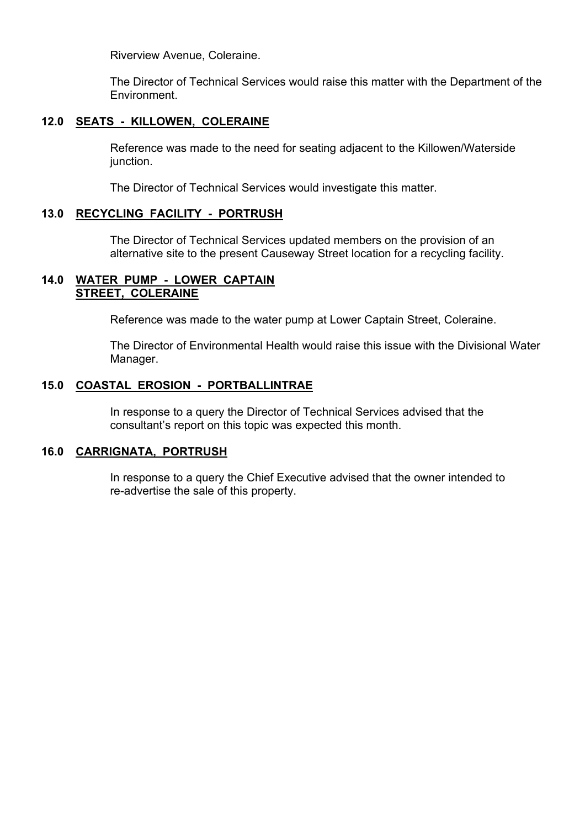Riverview Avenue, Coleraine.

 The Director of Technical Services would raise this matter with the Department of the Environment.

## **12.0 SEATS - KILLOWEN, COLERAINE**

 Reference was made to the need for seating adjacent to the Killowen/Waterside junction.

The Director of Technical Services would investigate this matter.

## **13.0 RECYCLING FACILITY - PORTRUSH**

 The Director of Technical Services updated members on the provision of an alternative site to the present Causeway Street location for a recycling facility.

## **14.0 WATER PUMP - LOWER CAPTAIN STREET, COLERAINE**

Reference was made to the water pump at Lower Captain Street, Coleraine.

 The Director of Environmental Health would raise this issue with the Divisional Water Manager.

## **15.0 COASTAL EROSION - PORTBALLINTRAE**

 In response to a query the Director of Technical Services advised that the consultant's report on this topic was expected this month.

## **16.0 CARRIGNATA, PORTRUSH**

 In response to a query the Chief Executive advised that the owner intended to re-advertise the sale of this property.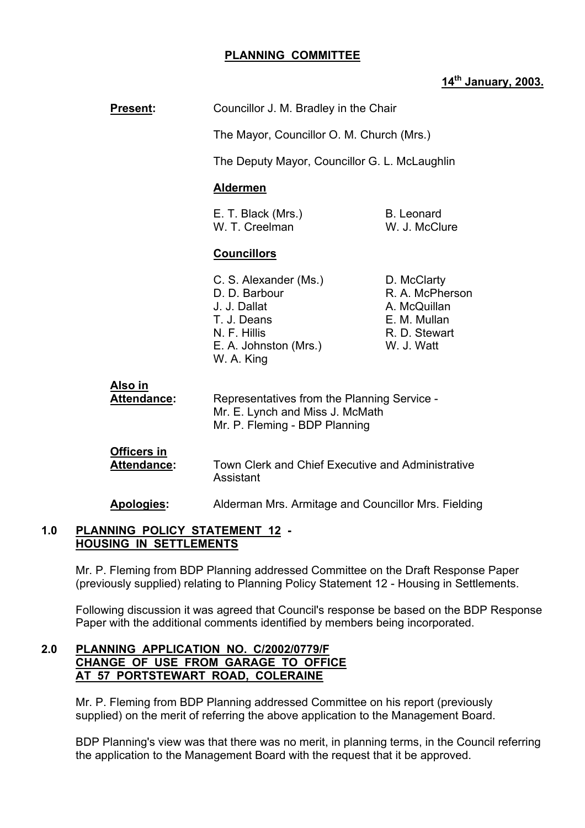## **PLANNING COMMITTEE**

## **14th January, 2003.**

| <b>Present:</b>                          | Councillor J. M. Bradley in the Chair                                                                                        |                                                                                               |
|------------------------------------------|------------------------------------------------------------------------------------------------------------------------------|-----------------------------------------------------------------------------------------------|
|                                          | The Mayor, Councillor O. M. Church (Mrs.)                                                                                    |                                                                                               |
|                                          | The Deputy Mayor, Councillor G. L. McLaughlin                                                                                |                                                                                               |
|                                          | <b>Aldermen</b>                                                                                                              |                                                                                               |
|                                          | E. T. Black (Mrs.)<br>W. T. Creelman                                                                                         | <b>B.</b> Leonard<br>W. J. McClure                                                            |
|                                          | <b>Councillors</b>                                                                                                           |                                                                                               |
|                                          | C. S. Alexander (Ms.)<br>D. D. Barbour<br>J. J. Dallat<br>T. J. Deans<br>N. F. Hillis<br>E. A. Johnston (Mrs.)<br>W. A. King | D. McClarty<br>R. A. McPherson<br>A. McQuillan<br>E. M. Mullan<br>R. D. Stewart<br>W. J. Watt |
| <u>Also in</u><br>Attendance:            | Representatives from the Planning Service -<br>Mr. E. Lynch and Miss J. McMath<br>Mr. P. Fleming - BDP Planning              |                                                                                               |
| <b>Officers in</b><br><b>Attendance:</b> | Town Clerk and Chief Executive and Administrative<br>Assistant                                                               |                                                                                               |
| <b>Apologies:</b>                        | Alderman Mrs. Armitage and Councillor Mrs. Fielding                                                                          |                                                                                               |

#### **1.0 PLANNING POLICY STATEMENT 12 - HOUSING IN SETTLEMENTS**

 Mr. P. Fleming from BDP Planning addressed Committee on the Draft Response Paper (previously supplied) relating to Planning Policy Statement 12 - Housing in Settlements.

 Following discussion it was agreed that Council's response be based on the BDP Response Paper with the additional comments identified by members being incorporated.

## **2.0 PLANNING APPLICATION NO. C/2002/0779/F CHANGE OF USE FROM GARAGE TO OFFICE AT 57 PORTSTEWART ROAD, COLERAINE**

 Mr. P. Fleming from BDP Planning addressed Committee on his report (previously supplied) on the merit of referring the above application to the Management Board.

BDP Planning's view was that there was no merit, in planning terms, in the Council referring the application to the Management Board with the request that it be approved.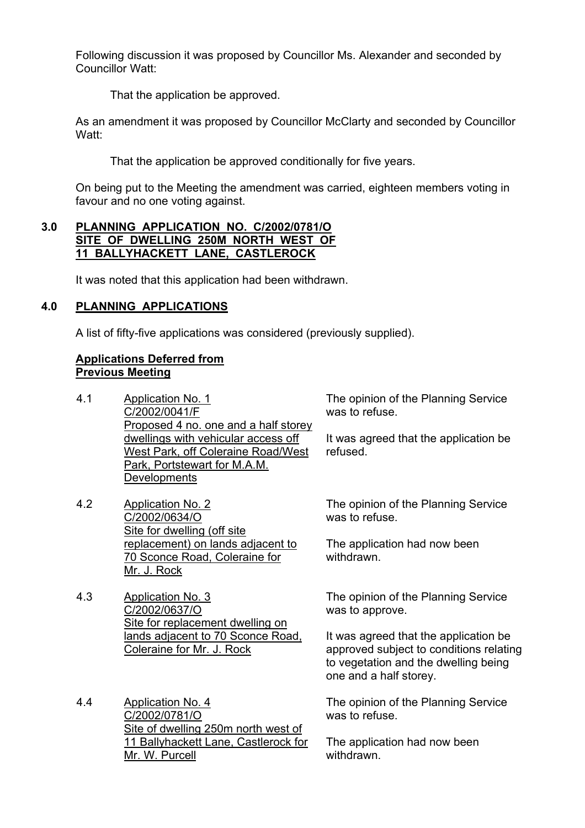Following discussion it was proposed by Councillor Ms. Alexander and seconded by Councillor Watt:

That the application be approved.

As an amendment it was proposed by Councillor McClarty and seconded by Councillor Watt:

That the application be approved conditionally for five years.

On being put to the Meeting the amendment was carried, eighteen members voting in favour and no one voting against.

## **3.0 PLANNING APPLICATION NO. C/2002/0781/O SITE OF DWELLING 250M NORTH WEST OF 11 BALLYHACKETT LANE, CASTLEROCK**

It was noted that this application had been withdrawn.

## **4.0 PLANNING APPLICATIONS**

A list of fifty-five applications was considered (previously supplied).

## **Applications Deferred from Previous Meeting**

- 4.1 Application No. 1 C/2002/0041/F Proposed 4 no. one and a half storey dwellings with vehicular access off West Park, off Coleraine Road/West Park, Portstewart for M.A.M. **Developments**
- 4.2 Application No. 2 C/2002/0634/O Site for dwelling (off site replacement) on lands adjacent to 70 Sconce Road, Coleraine for Mr. J. Rock
- 4.3 Application No. 3 C/2002/0637/O Site for replacement dwelling on lands adjacent to 70 Sconce Road, Coleraine for Mr. J. Rock

4.4 Application No. 4 C/2002/0781/O Site of dwelling 250m north west of 11 Ballyhackett Lane, Castlerock for Mr. W. Purcell

The opinion of the Planning Service was to refuse.

It was agreed that the application be refused.

The opinion of the Planning Service was to refuse.

The application had now been withdrawn.

The opinion of the Planning Service was to approve.

It was agreed that the application be approved subject to conditions relating to vegetation and the dwelling being one and a half storey.

The opinion of the Planning Service was to refuse.

The application had now been withdrawn.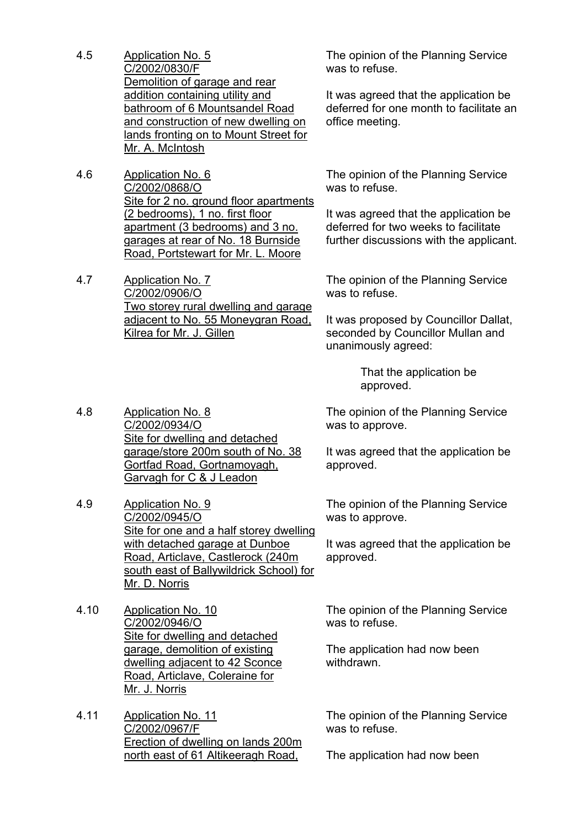- 4.5 Application No. 5 C/2002/0830/F Demolition of garage and rear addition containing utility and bathroom of 6 Mountsandel Road and construction of new dwelling on lands fronting on to Mount Street for Mr. A. McIntosh
- 4.6 Application No. 6 C/2002/0868/O Site for 2 no. ground floor apartments (2 bedrooms), 1 no. first floor apartment (3 bedrooms) and 3 no. garages at rear of No. 18 Burnside Road, Portstewart for Mr. L. Moore

4.7 Application No. 7 C/2002/0906/O Two storey rural dwelling and garage adjacent to No. 55 Moneygran Road, Kilrea for Mr. J. Gillen

The opinion of the Planning Service was to refuse.

It was agreed that the application be deferred for one month to facilitate an office meeting.

The opinion of the Planning Service was to refuse.

It was agreed that the application be deferred for two weeks to facilitate further discussions with the applicant.

The opinion of the Planning Service was to refuse.

It was proposed by Councillor Dallat, seconded by Councillor Mullan and unanimously agreed:

> That the application be approved.

The opinion of the Planning Service was to approve.

It was agreed that the application be approved.

The opinion of the Planning Service was to approve.

It was agreed that the application be approved.

The opinion of the Planning Service was to refuse.

The application had now been withdrawn.

The opinion of the Planning Service was to refuse.

The application had now been

4.8 Application No. 8 C/2002/0934/O Site for dwelling and detached garage/store 200m south of No. 38 Gortfad Road, Gortnamoyagh, Garvagh for C & J Leadon

- 4.9 Application No. 9 C/2002/0945/O Site for one and a half storey dwelling with detached garage at Dunboe Road, Articlave, Castlerock (240m south east of Ballywildrick School) for Mr. D. Norris
- 4.10 Application No. 10 C/2002/0946/O Site for dwelling and detached garage, demolition of existing dwelling adjacent to 42 Sconce Road, Articlave, Coleraine for Mr. J. Norris
- 4.11 Application No. 11 C/2002/0967/F Erection of dwelling on lands 200m north east of 61 Altikeeragh Road,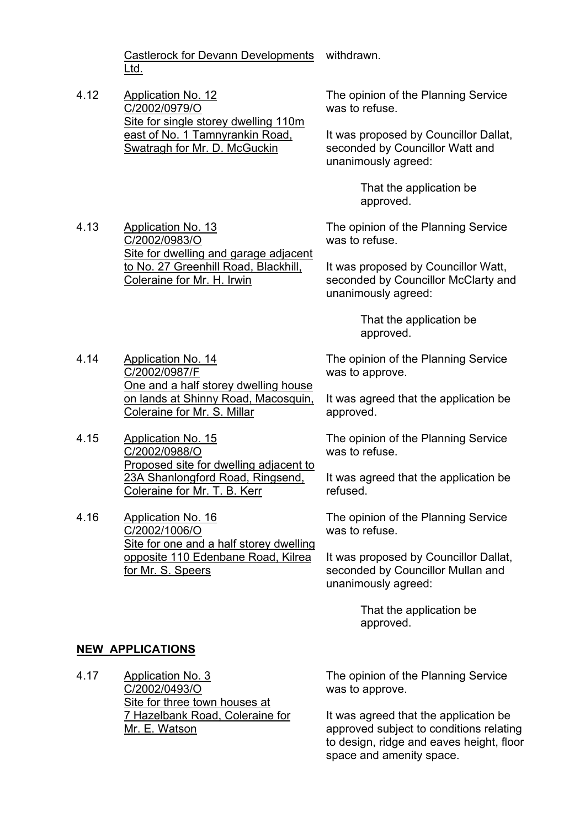Castlerock for Devann Developments withdrawn. Ltd.

4.12 Application No. 12 C/2002/0979/O Site for single storey dwelling 110m east of No. 1 Tamnyrankin Road, Swatragh for Mr. D. McGuckin

The opinion of the Planning Service was to refuse.

It was proposed by Councillor Dallat, seconded by Councillor Watt and unanimously agreed:

> That the application be approved.

The opinion of the Planning Service was to refuse.

It was proposed by Councillor Watt, seconded by Councillor McClarty and unanimously agreed:

> That the application be approved.

One and a half storey dwelling house The opinion of the Planning Service was to approve.

> It was agreed that the application be approved.

The opinion of the Planning Service was to refuse.

It was agreed that the application be refused.

The opinion of the Planning Service was to refuse.

It was proposed by Councillor Dallat, seconded by Councillor Mullan and unanimously agreed:

> That the application be approved.

## **NEW APPLICATIONS**

4.14 Application No. 14 C/2002/0987/F

4.15 Application No. 15

4.16 Application No. 16

C/2002/0988/O

C/2002/1006/O

for Mr. S. Speers

4.17 Application No. 3 C/2002/0493/O Site for three town houses at 7 Hazelbank Road, Coleraine for Mr. E. Watson

The opinion of the Planning Service was to approve.

It was agreed that the application be approved subject to conditions relating to design, ridge and eaves height, floor space and amenity space.

4.13 Application No. 13 C/2002/0983/O Site for dwelling and garage adjacent to No. 27 Greenhill Road, Blackhill, Coleraine for Mr. H. Irwin

on lands at Shinny Road, Macosquin,

Proposed site for dwelling adjacent to 23A Shanlongford Road, Ringsend,

Site for one and a half storey dwelling opposite 110 Edenbane Road, Kilrea

Coleraine for Mr. S. Millar

Coleraine for Mr. T. B. Kerr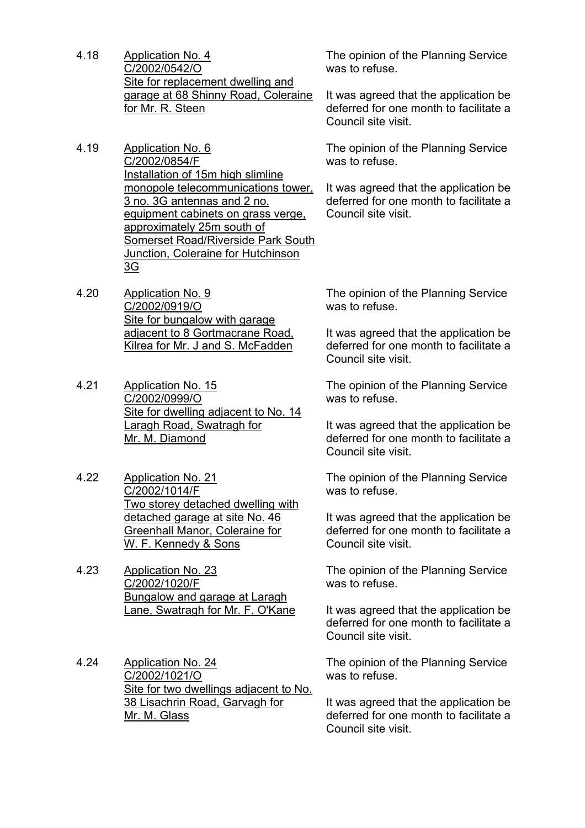- 4.18 Application No. 4 C/2002/0542/O Site for replacement dwelling and garage at 68 Shinny Road, Coleraine for Mr. R. Steen
- 4.19 Application No. 6 C/2002/0854/F Installation of 15m high slimline monopole telecommunications tower, 3 no. 3G antennas and 2 no. equipment cabinets on grass verge, approximately 25m south of Somerset Road/Riverside Park South Junction, Coleraine for Hutchinson 3G
- 4.20 Application No. 9 C/2002/0919/O Site for bungalow with garage adjacent to 8 Gortmacrane Road, Kilrea for Mr. J and S. McFadden
- 4.21 Application No. 15 C/2002/0999/O Site for dwelling adjacent to No. 14 Laragh Road, Swatragh for Mr. M. Diamond
- 4.22 Application No. 21 C/2002/1014/F Two storey detached dwelling with detached garage at site No. 46 Greenhall Manor, Coleraine for W. F. Kennedy & Sons
- 4.23 Application No. 23 C/2002/1020/F Bungalow and garage at Laragh Lane, Swatragh for Mr. F. O'Kane
- 4.24 Application No. 24 C/2002/1021/O Site for two dwellings adjacent to No. 38 Lisachrin Road, Garvagh for Mr. M. Glass

The opinion of the Planning Service was to refuse.

It was agreed that the application be deferred for one month to facilitate a Council site visit.

The opinion of the Planning Service was to refuse.

It was agreed that the application be deferred for one month to facilitate a Council site visit.

The opinion of the Planning Service was to refuse.

It was agreed that the application be deferred for one month to facilitate a Council site visit.

The opinion of the Planning Service was to refuse.

It was agreed that the application be deferred for one month to facilitate a Council site visit.

The opinion of the Planning Service was to refuse.

It was agreed that the application be deferred for one month to facilitate a Council site visit.

The opinion of the Planning Service was to refuse.

It was agreed that the application be deferred for one month to facilitate a Council site visit.

The opinion of the Planning Service was to refuse.

It was agreed that the application be deferred for one month to facilitate a Council site visit.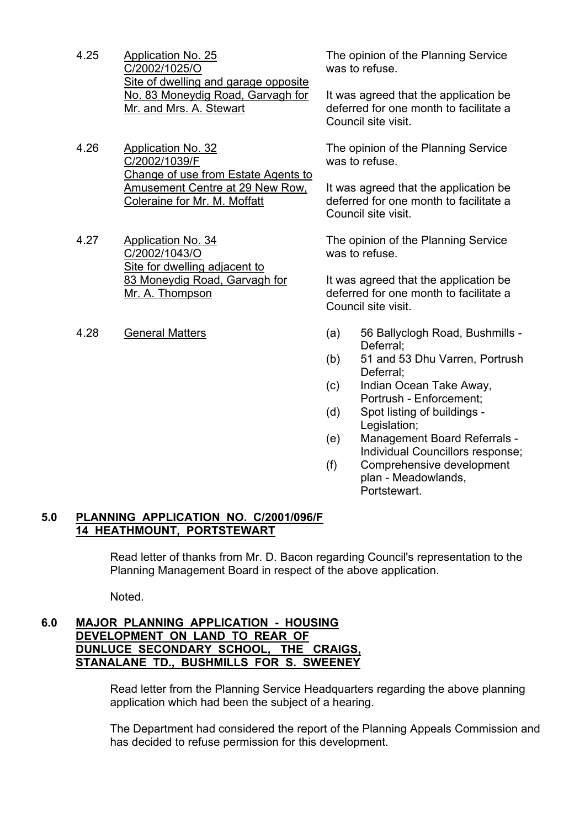- 4.25 Application No. 25 C/2002/1025/O Site of dwelling and garage opposite No. 83 Moneydig Road, Garvagh for Mr. and Mrs. A. Stewart
- 4.26 Application No. 32 C/2002/1039/F Change of use from Estate Agents to Amusement Centre at 29 New Row, Coleraine for Mr. M. Moffatt
- 4.27 Application No. 34 C/2002/1043/O Site for dwelling adjacent to 83 Moneydig Road, Garvagh for Mr. A. Thompson
- 

The opinion of the Planning Service was to refuse.

It was agreed that the application be deferred for one month to facilitate a Council site visit.

The opinion of the Planning Service was to refuse.

It was agreed that the application be deferred for one month to facilitate a Council site visit.

The opinion of the Planning Service was to refuse.

It was agreed that the application be deferred for one month to facilitate a Council site visit.

- 4.28 General Matters (a) 56 Ballyclogh Road, Bushmills Deferral;
	- (b) 51 and 53 Dhu Varren, Portrush Deferral;
	- (c) Indian Ocean Take Away, Portrush - Enforcement;
	- (d) Spot listing of buildings Legislation;
	- (e) Management Board Referrals Individual Councillors response;
	- (f) Comprehensive development plan - Meadowlands, **Portstewart**

## **5.0 PLANNING APPLICATION NO. C/2001/096/F 14 HEATHMOUNT, PORTSTEWART**

 Read letter of thanks from Mr. D. Bacon regarding Council's representation to the Planning Management Board in respect of the above application.

Noted.

## **6.0 MAJOR PLANNING APPLICATION - HOUSING DEVELOPMENT ON LAND TO REAR OF DUNLUCE SECONDARY SCHOOL, THE CRAIGS, STANALANE TD., BUSHMILLS FOR S. SWEENEY**

Read letter from the Planning Service Headquarters regarding the above planning application which had been the subject of a hearing.

The Department had considered the report of the Planning Appeals Commission and has decided to refuse permission for this development.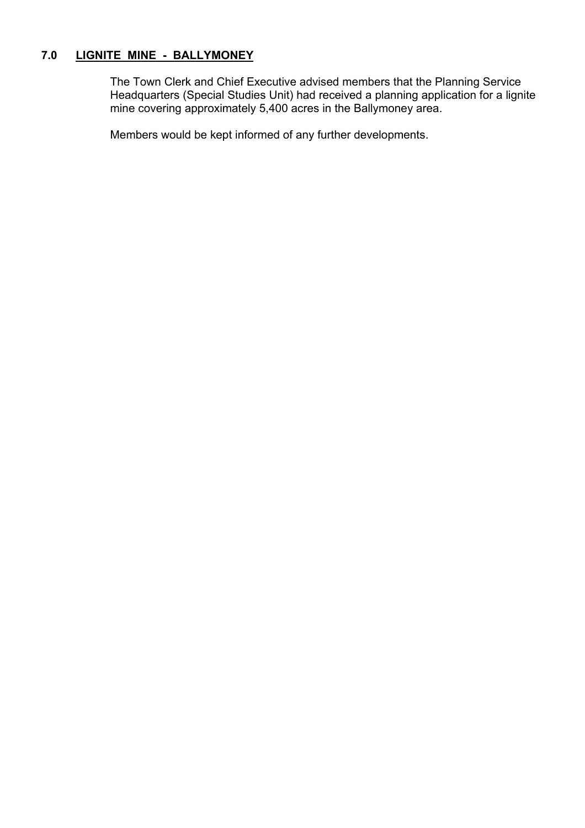## **7.0 LIGNITE MINE - BALLYMONEY**

 The Town Clerk and Chief Executive advised members that the Planning Service Headquarters (Special Studies Unit) had received a planning application for a lignite mine covering approximately 5,400 acres in the Ballymoney area.

Members would be kept informed of any further developments.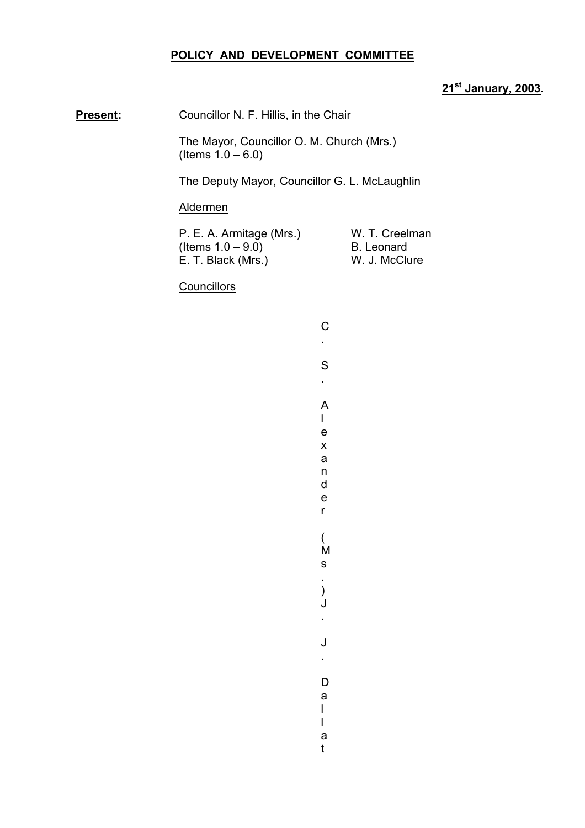## **POLICY AND DEVELOPMENT COMMITTEE**

## **21st January, 2003.**

**Present:** Councillor N. F. Hillis, in the Chair

 The Mayor, Councillor O. M. Church (Mrs.)  $($ ltems  $1.0 - 6.0)$ 

The Deputy Mayor, Councillor G. L. McLaughlin

#### Aldermen

P. E. A. Armitage (Mrs.) W. T. Creelman (Items  $1.0 - 9.0$ ) B. Leonard<br>E. T. Black (Mrs.) W. I. McClu E. T. Black (Mrs.) W. J. McClure

**Councillors** 

| <u>`</u> |  |
|----------|--|
|          |  |
| S        |  |
|          |  |
| ۹        |  |
| ı        |  |

e x a n d e r

( M s . ) J .

J .

D a l l a t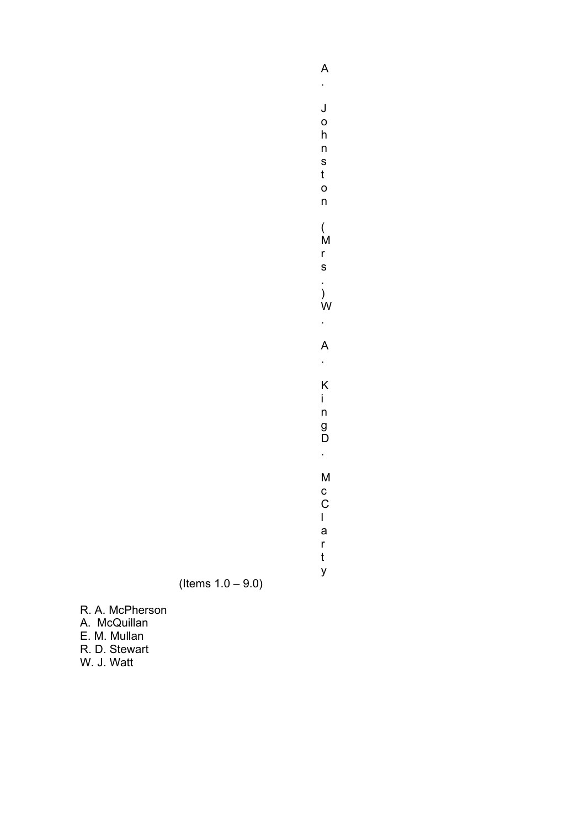. J o h n s t o n ( M r s . ) W . A . K i n g D . M c C l a r t

y

A

 $($  Items  $1.0 - 9.0)$ 

R. A. McPherson A. McQuillan E. M. Mullan R. D. Stewart W. J. Watt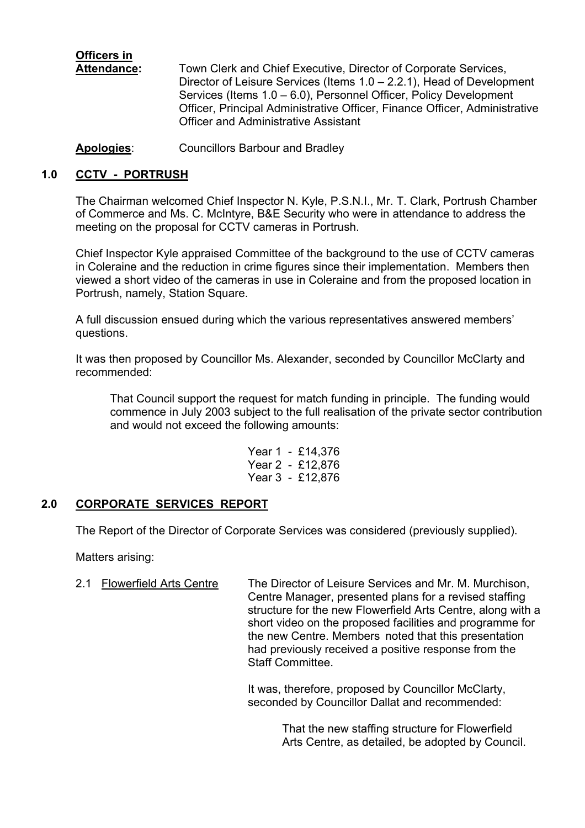**Officers in**

 **Attendance:** Town Clerk and Chief Executive, Director of Corporate Services, Director of Leisure Services (Items  $1.0 - 2.2.1$ ), Head of Development Services (Items 1.0 – 6.0), Personnel Officer, Policy Development Officer, Principal Administrative Officer, Finance Officer, Administrative Officer and Administrative Assistant

**Apologies**: Councillors Barbour and Bradley

## **1.0 CCTV - PORTRUSH**

The Chairman welcomed Chief Inspector N. Kyle, P.S.N.I., Mr. T. Clark, Portrush Chamber of Commerce and Ms. C. McIntyre, B&E Security who were in attendance to address the meeting on the proposal for CCTV cameras in Portrush.

Chief Inspector Kyle appraised Committee of the background to the use of CCTV cameras in Coleraine and the reduction in crime figures since their implementation. Members then viewed a short video of the cameras in use in Coleraine and from the proposed location in Portrush, namely, Station Square.

A full discussion ensued during which the various representatives answered members' questions.

It was then proposed by Councillor Ms. Alexander, seconded by Councillor McClarty and recommended:

That Council support the request for match funding in principle. The funding would commence in July 2003 subject to the full realisation of the private sector contribution and would not exceed the following amounts:

> Year 1 - £14,376 Year 2 - £12,876 Year 3 - £12,876

## **2.0 CORPORATE SERVICES REPORT**

The Report of the Director of Corporate Services was considered (previously supplied).

Matters arising:

2.1 Flowerfield Arts Centre The Director of Leisure Services and Mr. M. Murchison, Centre Manager, presented plans for a revised staffing structure for the new Flowerfield Arts Centre, along with a short video on the proposed facilities and programme for the new Centre. Members noted that this presentation had previously received a positive response from the Staff Committee.

> It was, therefore, proposed by Councillor McClarty, seconded by Councillor Dallat and recommended:

> > That the new staffing structure for Flowerfield Arts Centre, as detailed, be adopted by Council.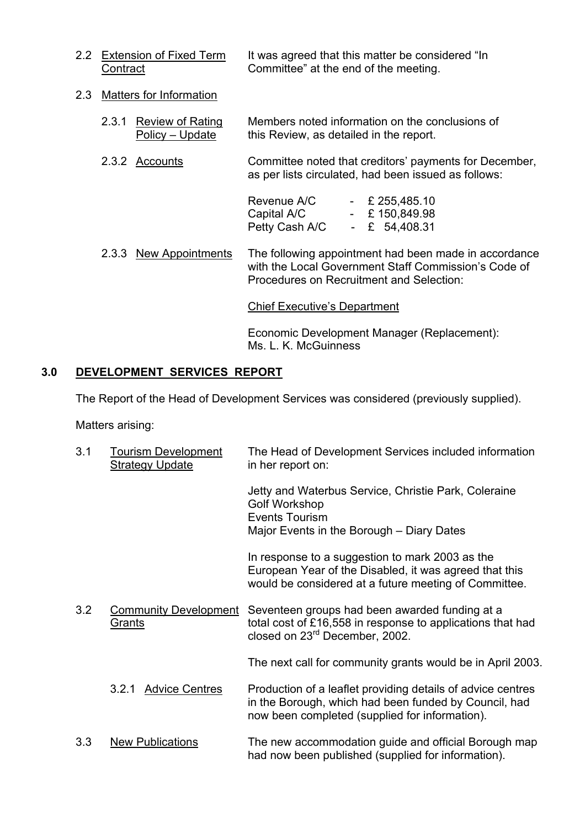- 2.2 Extension of Fixed Term It was agreed that this matter be considered "In Contract Committee" at the end of the meeting.
- 2.3 Matters for Information
	- 2.3.1 Review of Rating Members noted information on the conclusions of Policy – Update this Review, as detailed in the report.
	- 2.3.2 Accounts Committee noted that creditors' payments for December, as per lists circulated, had been issued as follows:

| Revenue A/C    | $ -$ | £ 255,485.10 |
|----------------|------|--------------|
| Capital A/C    | $-$  | £150,849.98  |
| Petty Cash A/C |      | £ 54,408.31  |

 2.3.3 New Appointments The following appointment had been made in accordance with the Local Government Staff Commission's Code of Procedures on Recruitment and Selection:

Chief Executive's Department

 Economic Development Manager (Replacement): Ms. L. K. McGuinness

## **3.0 DEVELOPMENT SERVICES REPORT**

The Report of the Head of Development Services was considered (previously supplied).

Matters arising:

| 3.1 | <b>Tourism Development</b><br><b>Strategy Update</b> | The Head of Development Services included information<br>in her report on:                                                                                             |
|-----|------------------------------------------------------|------------------------------------------------------------------------------------------------------------------------------------------------------------------------|
|     |                                                      | Jetty and Waterbus Service, Christie Park, Coleraine<br><b>Golf Workshop</b><br><b>Events Tourism</b><br>Major Events in the Borough – Diary Dates                     |
|     |                                                      | In response to a suggestion to mark 2003 as the<br>European Year of the Disabled, it was agreed that this<br>would be considered at a future meeting of Committee.     |
| 3.2 | <b>Community Development</b><br><b>Grants</b>        | Seventeen groups had been awarded funding at a<br>total cost of £16,558 in response to applications that had<br>closed on 23 <sup>rd</sup> December, 2002.             |
|     |                                                      | The next call for community grants would be in April 2003.                                                                                                             |
|     | <b>Advice Centres</b><br>3.2.1                       | Production of a leaflet providing details of advice centres<br>in the Borough, which had been funded by Council, had<br>now been completed (supplied for information). |
| 3.3 | <b>New Publications</b>                              | The new accommodation guide and official Borough map<br>had now been published (supplied for information).                                                             |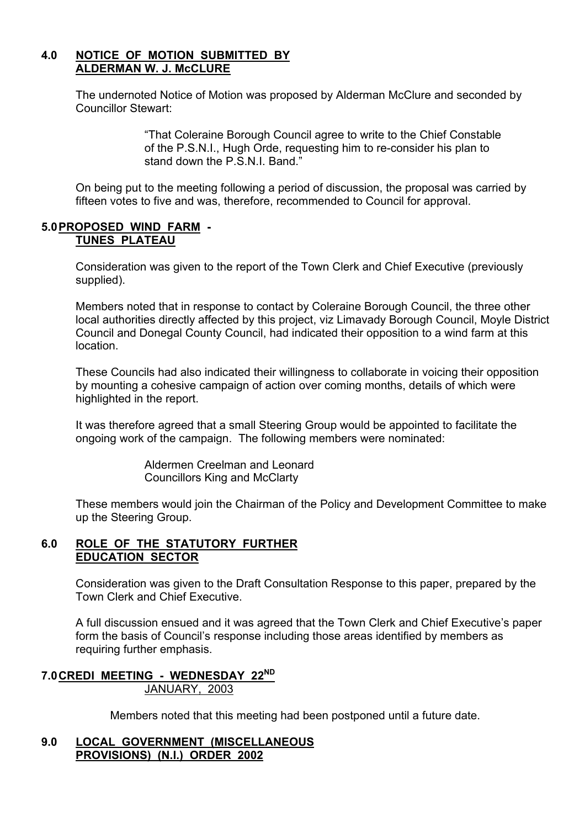## **4.0 NOTICE OF MOTION SUBMITTED BY ALDERMAN W. J. McCLURE**

 The undernoted Notice of Motion was proposed by Alderman McClure and seconded by Councillor Stewart:

> ìThat Coleraine Borough Council agree to write to the Chief Constable of the P.S.N.I., Hugh Orde, requesting him to re-consider his plan to stand down the P.S.N.I. Band.<sup>n</sup>

 On being put to the meeting following a period of discussion, the proposal was carried by fifteen votes to five and was, therefore, recommended to Council for approval.

#### **5.0 PROPOSED WIND FARM - TUNES PLATEAU**

Consideration was given to the report of the Town Clerk and Chief Executive (previously supplied).

Members noted that in response to contact by Coleraine Borough Council, the three other local authorities directly affected by this project, viz Limavady Borough Council, Moyle District Council and Donegal County Council, had indicated their opposition to a wind farm at this location.

These Councils had also indicated their willingness to collaborate in voicing their opposition by mounting a cohesive campaign of action over coming months, details of which were highlighted in the report.

It was therefore agreed that a small Steering Group would be appointed to facilitate the ongoing work of the campaign. The following members were nominated:

> Aldermen Creelman and Leonard Councillors King and McClarty

These members would join the Chairman of the Policy and Development Committee to make up the Steering Group.

## **6.0 ROLE OF THE STATUTORY FURTHER EDUCATION SECTOR**

Consideration was given to the Draft Consultation Response to this paper, prepared by the Town Clerk and Chief Executive.

 A full discussion ensued and it was agreed that the Town Clerk and Chief Executiveís paper form the basis of Council's response including those areas identified by members as requiring further emphasis.

#### **7.0 CREDI MEETING - WEDNESDAY 22ND**  JANUARY, 2003

Members noted that this meeting had been postponed until a future date.

#### **9.0 LOCAL GOVERNMENT (MISCELLANEOUS PROVISIONS) (N.I.) ORDER 2002**